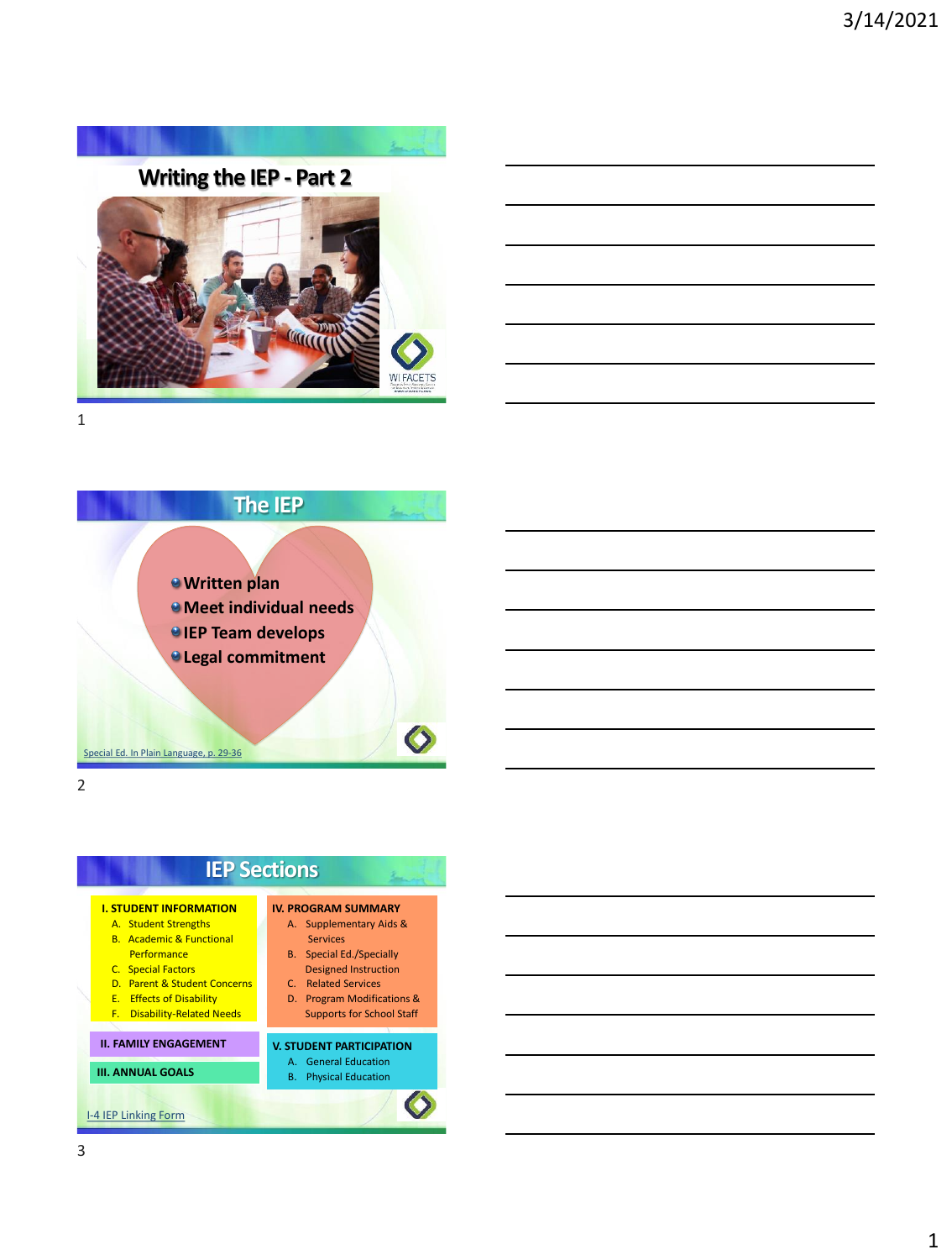





# **IEP Sections**



- C. Related Services
- D. Program Modifications & Supports for School Staff

#### **V. STUDENT PARTICIPATION**

- A. General Education
- B. Physical Education

1

[I-4 IEP Linking Form](https://dpi.wi.gov/sped/laws-procedures-bulletins/procedures/sample/forms)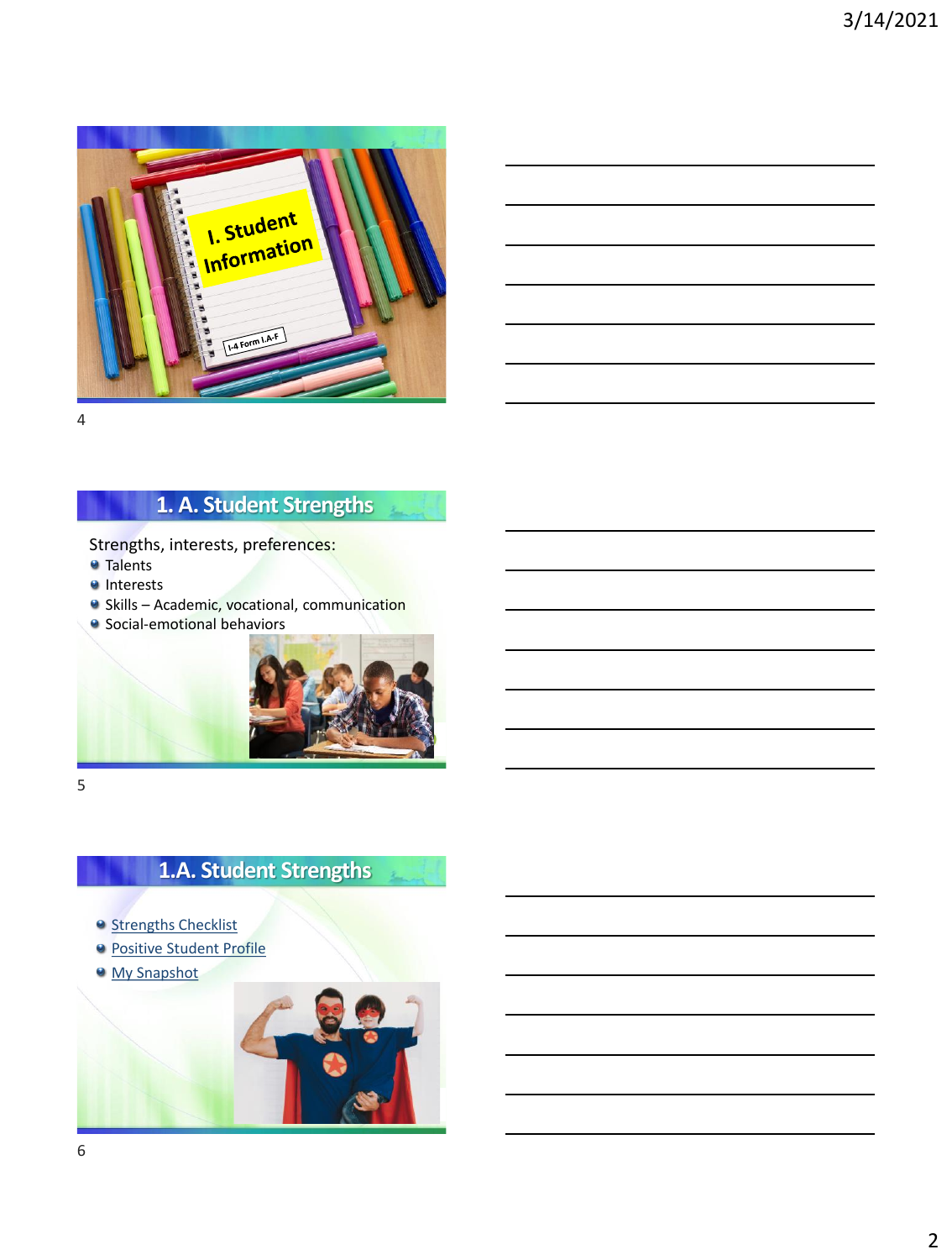

4

# **1. A. Student Strengths**

Strengths, interests, preferences:

- **Talents**
- **Interests**
- **•** Skills Academic, vocational, communication
- **•** Social-emotional behaviors



5

# **1.A. Student Strengths**

- <sup>o</sup> [Strengths Checklist](https://tinyurl.com/snvmaws)
- **[Positive Student Profile](https://wspei.org/documents/positive-student-profile.pdf)**
- [My Snapshot](https://wspei.org/documents/mysnapshot-3.20.2019.pdf)

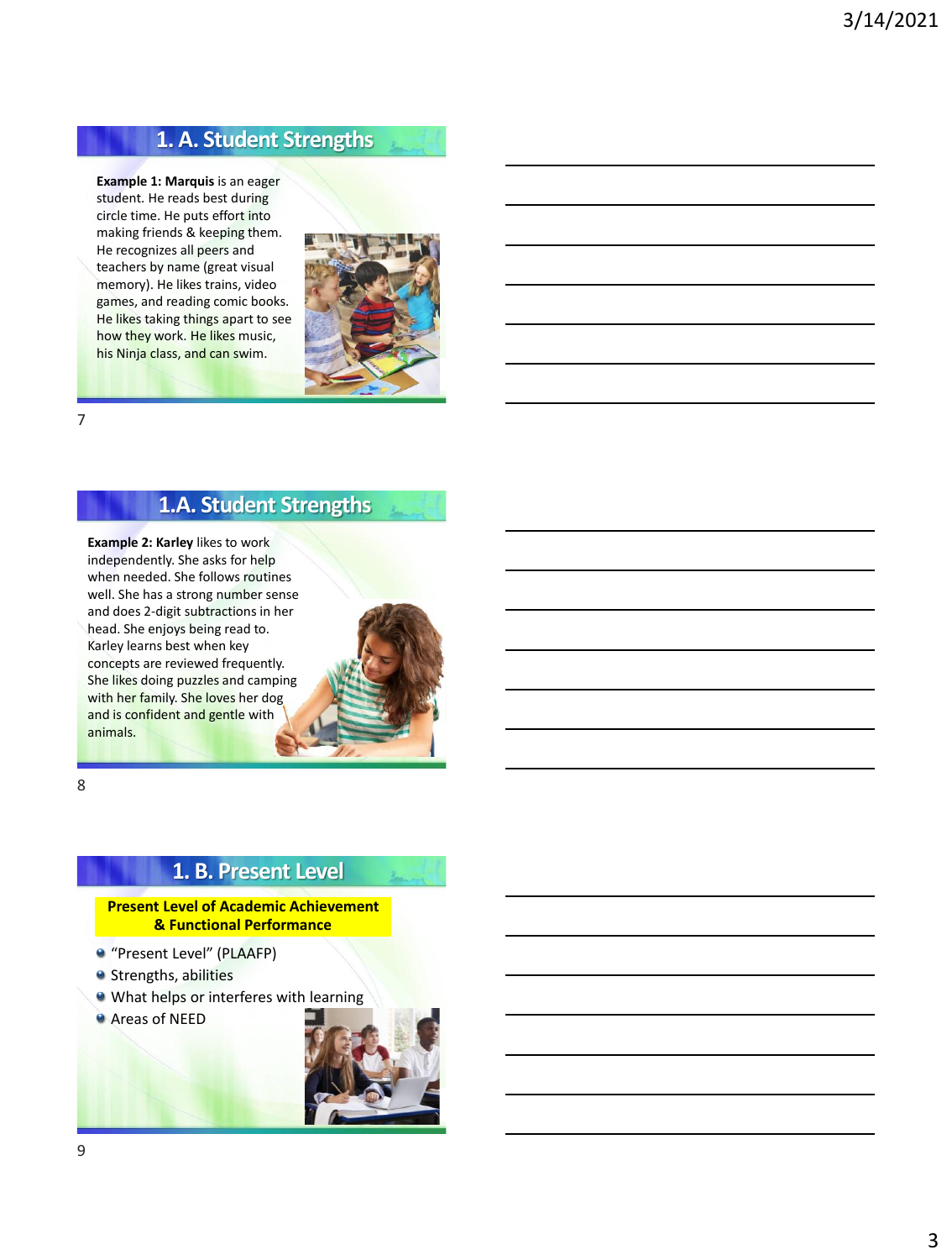## **1. A. Student Strengths**

**Example 1: Marquis** is an eager student. He reads best during circle time. He puts effort into making friends & keeping them. He recognizes all peers and teachers by name (great visual memory). He likes trains, video games, and reading comic books. He likes taking things apart to see how they work. He likes music, his Ninja class, and can swim.



7

#### **1.A. Student Strengths**

**Example 2: Karley** likes to work independently. She asks for help when needed. She follows routines well. She has a strong number sense and does 2-digit subtractions in her head. She enjoys being read to. Karley learns best when key concepts are reviewed frequently. She likes doing puzzles and camping with her family. She loves her dog and is confident and gentle with animals.



8

#### **1. B. Present Level**

#### **Present Level of Academic Achievement & Functional Performance**

- "Present Level" (PLAAFP)
- **Strengths, abilities**
- What helps or interferes with learning
- Areas of NEED

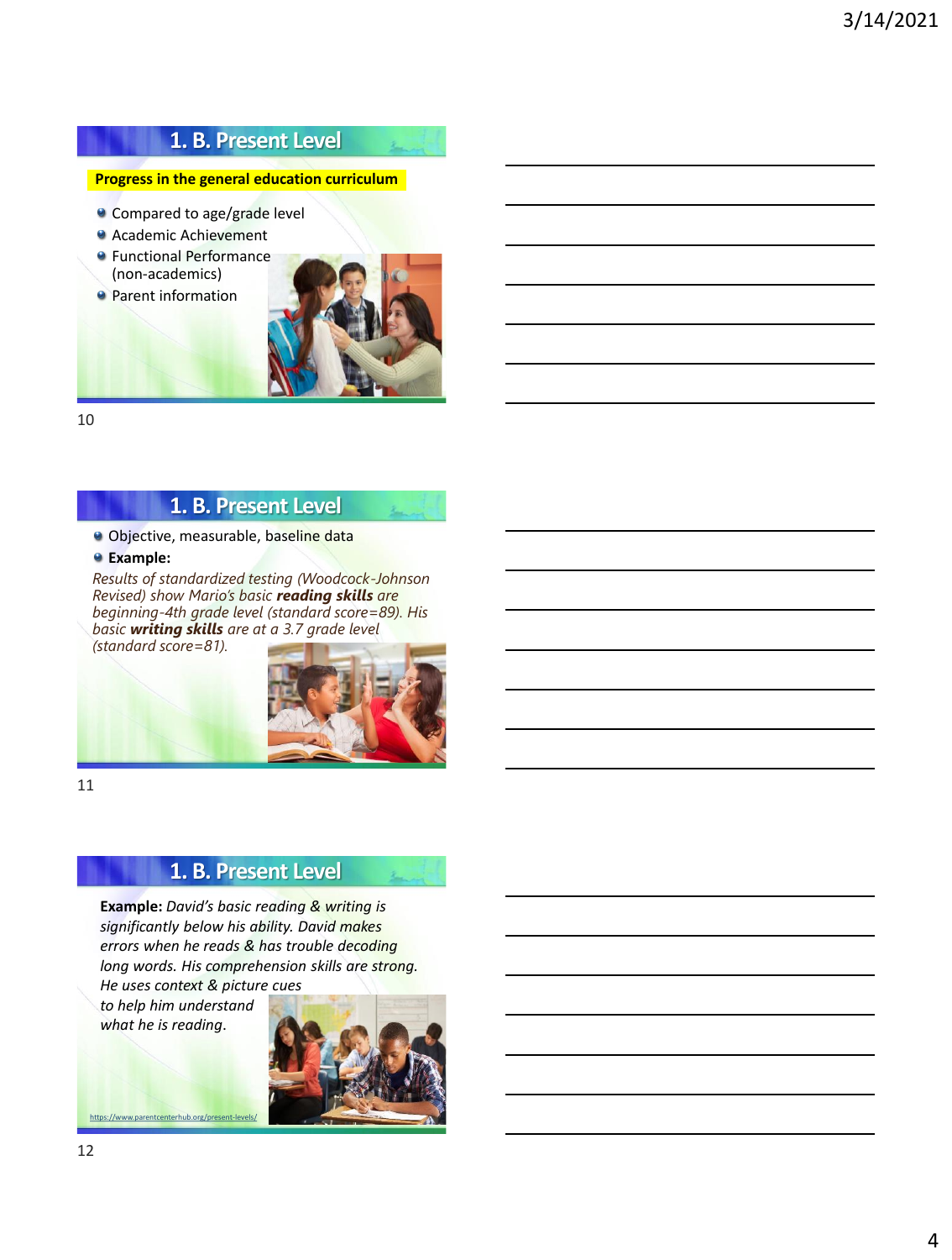### **1. B. Present Level**

#### **Progress in the general education curriculum**

- <sup>o</sup> Compared to age/grade level
- Academic Achievement
- **•** Functional Performance (non-academics)
- **Parent information**



10

#### **1. B. Present Level**

**Objective, measurable, baseline data** 

**Example:** 

*Results of standardized testing (Woodcock-Johnson Revised) show Mario's basic reading skills are beginning-4th grade level (standard score=89). His basic writing skills are at a 3.7 grade level (standard score=81).*



11

### **1. B. Present Level**

**Example:** *David's basic reading & writing is significantly below his ability. David makes errors when he reads & has trouble decoding long words. His comprehension skills are strong. He uses context & picture cues* 

*to help him understand what he is reading*.



<https://www.parentcenterhub.org/present-levels/>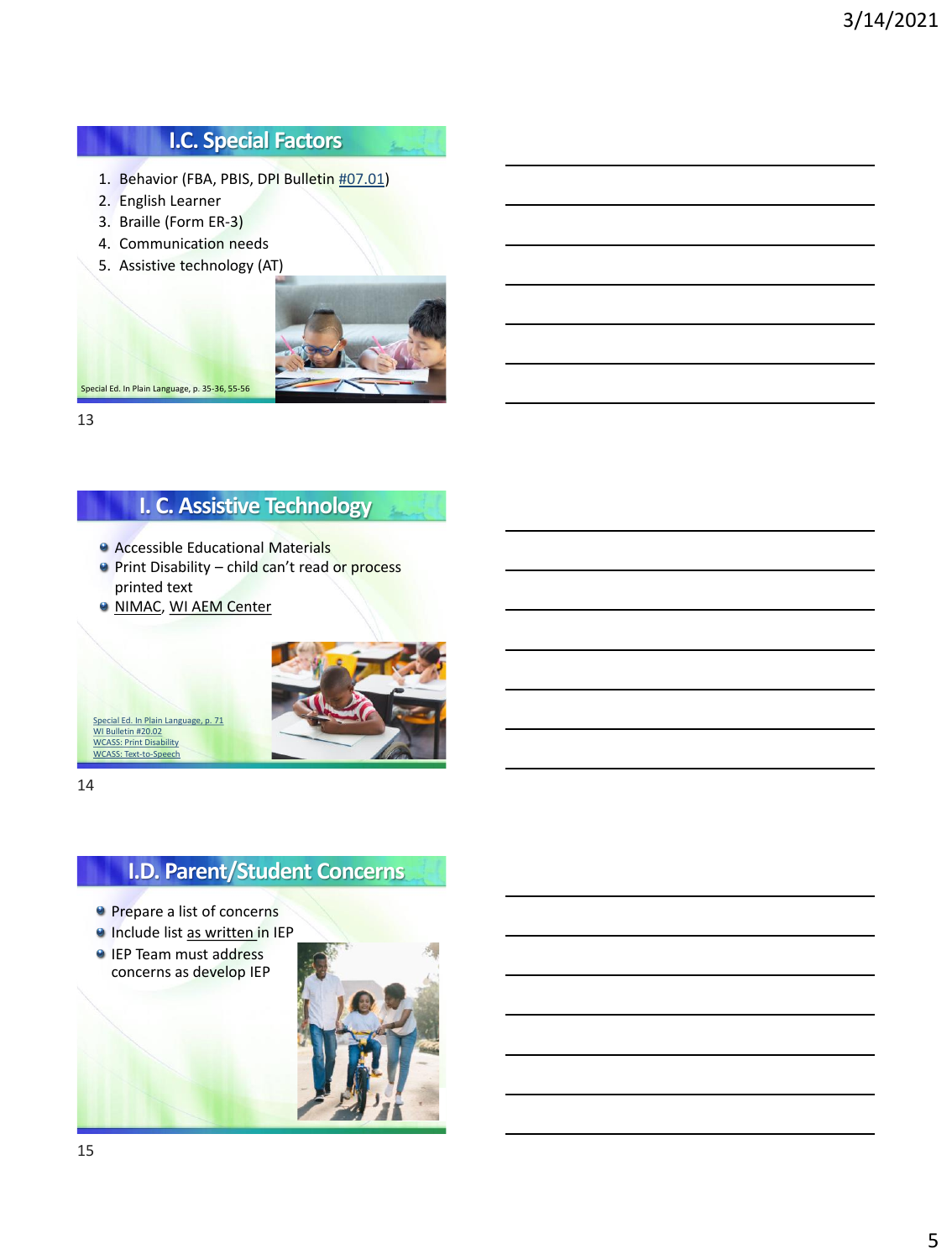# **I.C. Special Factors**

- 1. Behavior (FBA, PBIS, DPI Bulletin [#07.01](https://dpi.wi.gov/sped/laws-procedures-bulletins/bulletins/07-01))
- 2. English Learner
- 3. Braille (Form ER-3)
- 4. Communication needs
- 5. Assistive technology (AT)



L.

13

## **I. C. Assistive Technology**

- Accessible Educational Materials
- **Print Disability child can't read or process** printed text
- **WI MAC, WI AEM Center**



14

# **I.D. Parent/Student Concerns**

- **Prepare a list of concerns**
- **Include list as written in IEP**
- **IEP Team must address** concerns as develop IEP

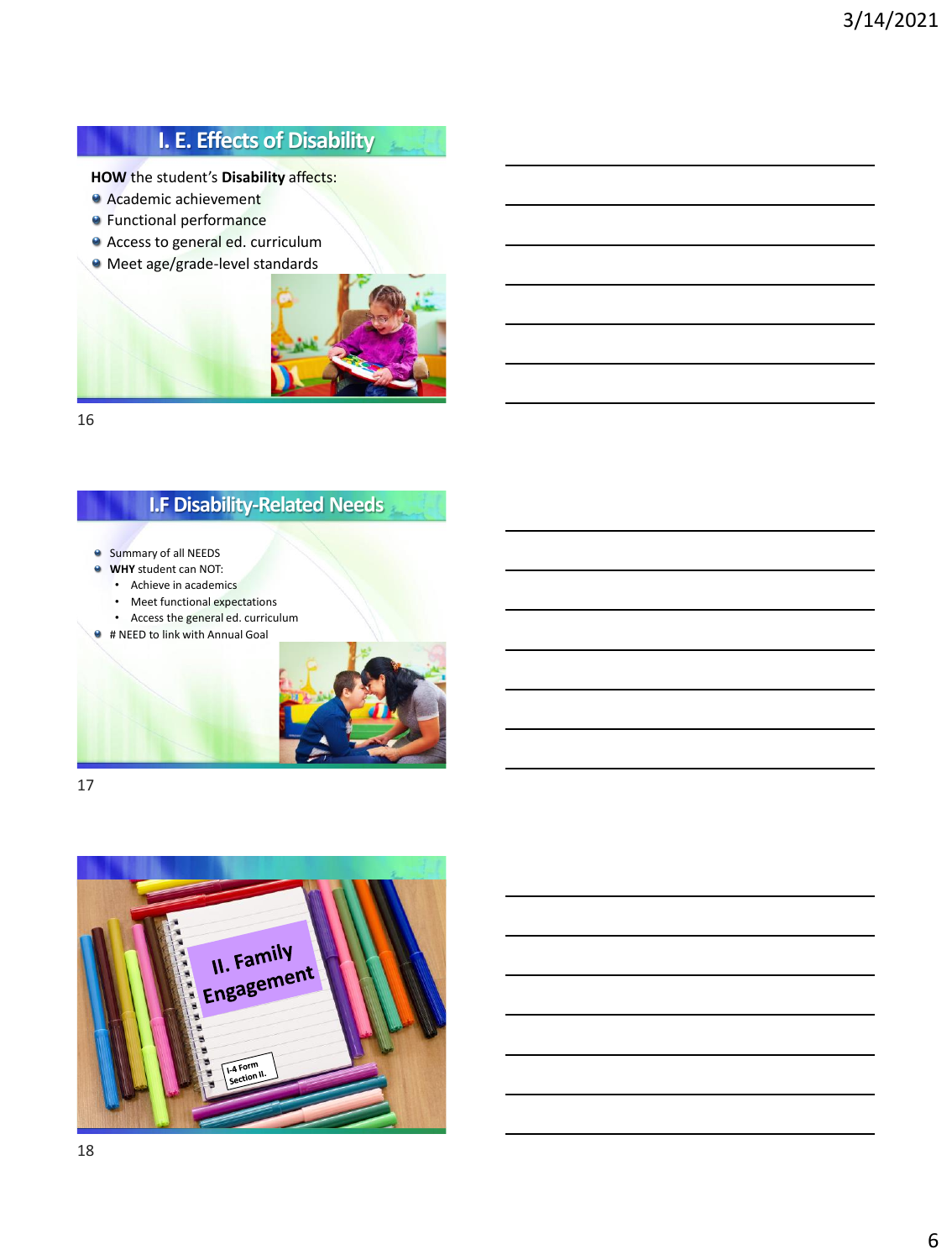# **I. E. Effects of Disability**

**HOW** the student's **Disability** affects:

- Academic achievement
- **•** Functional performance
- Access to general ed. curriculum
- Meet age/grade-level standards



16

### **I.F Disability-Related Needs**

- **Summary of all NEEDS**
- **WHY** student can NOT:
	- Achieve in academics
	- Meet functional expectations • Access the general ed. curriculum
- # NEED to link with Annual Goal



17

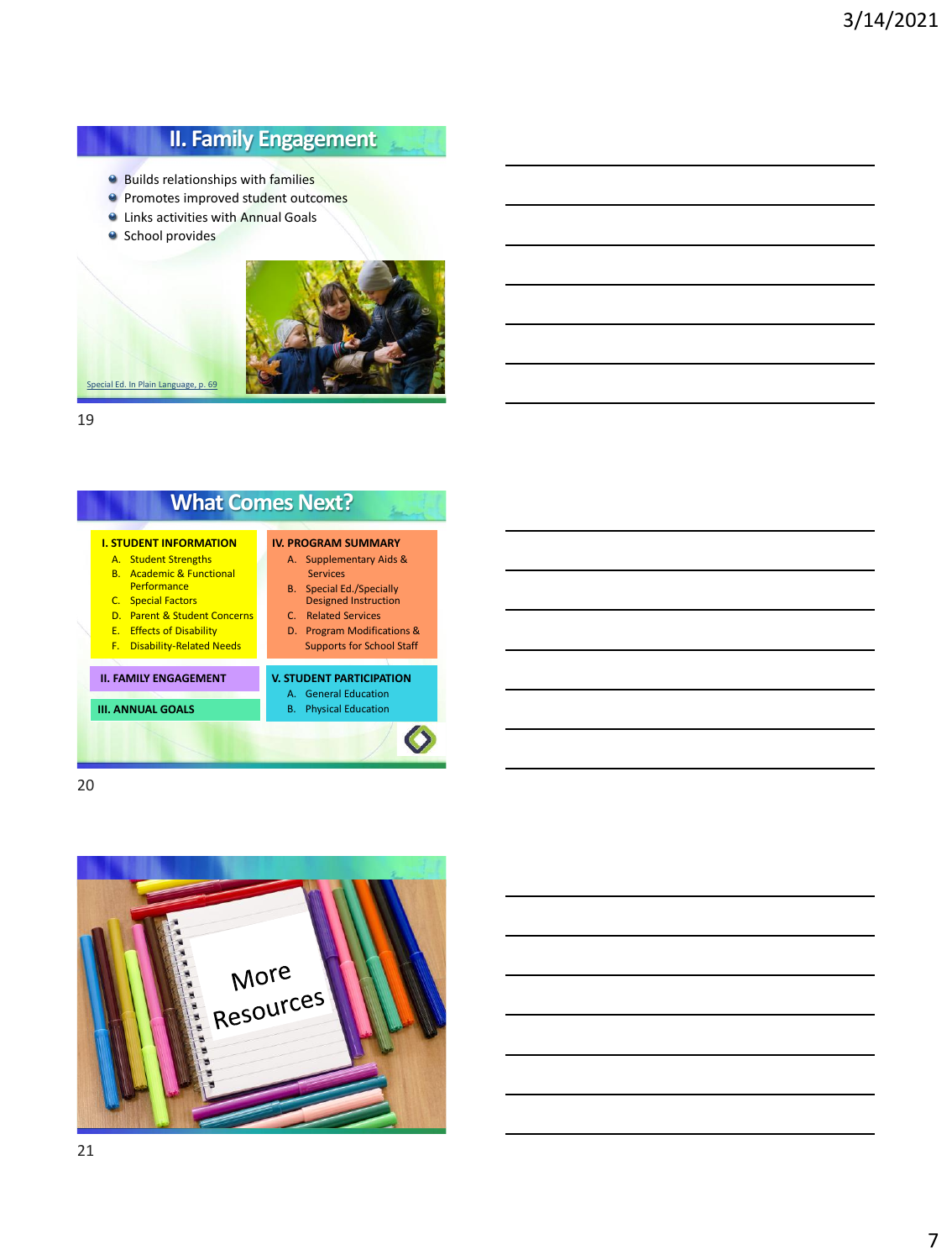### **II. Family Engagement**

 $\mathbf{z}$ 

- **Builds relationships with families**
- **P** Promotes improved student outcomes
- **Q** Links activities with Annual Goals
- **School provides**



19

# **What Comes Next?**

#### **I. STUDENT INFORMATION** A. Student Strengths

- B. Academic & Functional
- **Performance**
- C. Special Factors

**III. ANNUAL GOALS** 

- D. Parent & Student Concerns E. Effects of Disability
- F. Disability-Related Needs
- **II. FAMILY ENGAGEMENT**

#### **V. STUDENT PARTICIPATION**

**IV. PROGRAM SUMMARY** A. Supplementary Aids & Services B. Special Ed./Specially Designed Instruction C. Related Services D. Program Modifications & Supports for School Staff

#### A. General Education

#### B. Physical Education

 $\bullet$ 

20